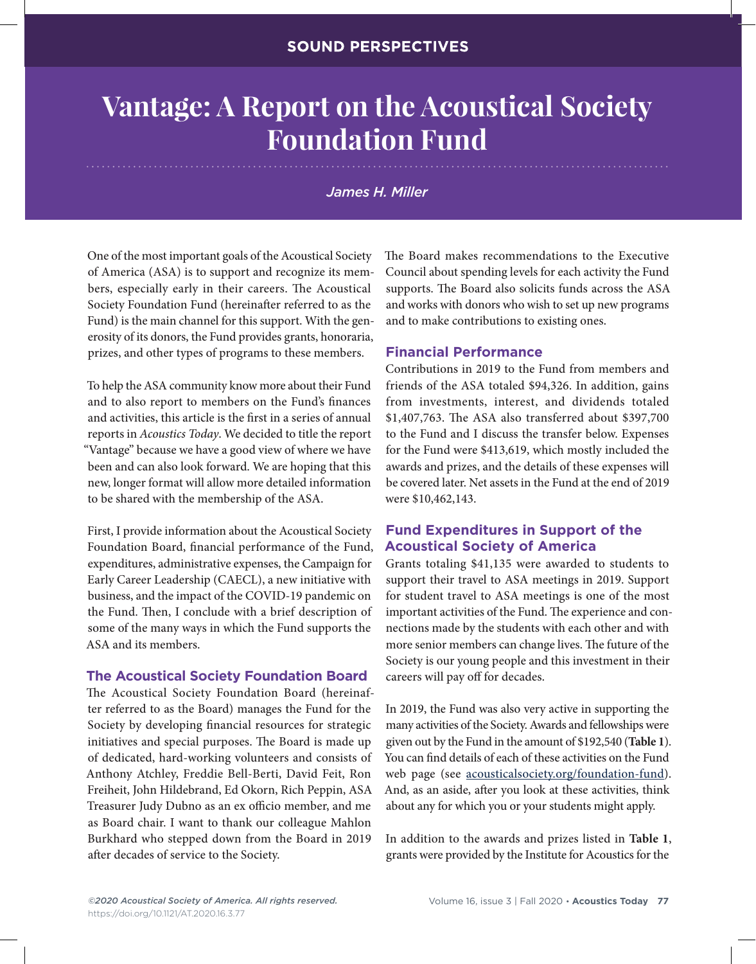# **Vantage: A Report on the Acoustical Society Foundation Fund**

# *James H. Miller*

One of the most important goals of the Acoustical Society of America (ASA) is to support and recognize its members, especially early in their careers. The Acoustical Society Foundation Fund (hereinafter referred to as the Fund) is the main channel for this support. With the generosity of its donors, the Fund provides grants, honoraria, prizes, and other types of programs to these members.

To help the ASA community know more about their Fund and to also report to members on the Fund's finances and activities, this article is the first in a series of annual reports in *Acoustics Today*. We decided to title the report "Vantage" because we have a good view of where we have been and can also look forward. We are hoping that this new, longer format will allow more detailed information to be shared with the membership of the ASA.

First, I provide information about the Acoustical Society Foundation Board, financial performance of the Fund, expenditures, administrative expenses, the Campaign for Early Career Leadership (CAECL), a new initiative with business, and the impact of the COVID-19 pandemic on the Fund. Then, I conclude with a brief description of some of the many ways in which the Fund supports the ASA and its members.

#### **The Acoustical Society Foundation Board**

The Acoustical Society Foundation Board (hereinafter referred to as the Board) manages the Fund for the Society by developing financial resources for strategic initiatives and special purposes. The Board is made up of dedicated, hard-working volunteers and consists of Anthony Atchley, Freddie Bell-Berti, David Feit, Ron Freiheit, John Hildebrand, Ed Okorn, Rich Peppin, ASA Treasurer Judy Dubno as an ex officio member, and me as Board chair. I want to thank our colleague Mahlon Burkhard who stepped down from the Board in 2019 after decades of service to the Society.

The Board makes recommendations to the Executive Council about spending levels for each activity the Fund supports. The Board also solicits funds across the ASA and works with donors who wish to set up new programs and to make contributions to existing ones.

## **Financial Performance**

Contributions in 2019 to the Fund from members and friends of the ASA totaled \$94,326. In addition, gains from investments, interest, and dividends totaled \$1,407,763. The ASA also transferred about \$397,700 to the Fund and I discuss the transfer below. Expenses for the Fund were \$413,619, which mostly included the awards and prizes, and the details of these expenses will be covered later. Net assets in the Fund at the end of 2019 were \$10,462,143.

# **Fund Expenditures in Support of the Acoustical Society of America**

Grants totaling \$41,135 were awarded to students to support their travel to ASA meetings in 2019. Support for student travel to ASA meetings is one of the most important activities of the Fund. The experience and connections made by the students with each other and with more senior members can change lives. The future of the Society is our young people and this investment in their careers will pay off for decades.

In 2019, the Fund was also very active in supporting the many activities of the Society. Awards and fellowships were given out by the Fund in the amount of \$192,540 (**Table 1**). You can find details of each of these activities on the Fund web page (see acousticalsociety.org/foundation-fund). And, as an aside, after you look at these activities, think about any for which you or your students might apply.

In addition to the awards and prizes listed in **Table 1**, grants were provided by the Institute for Acoustics for the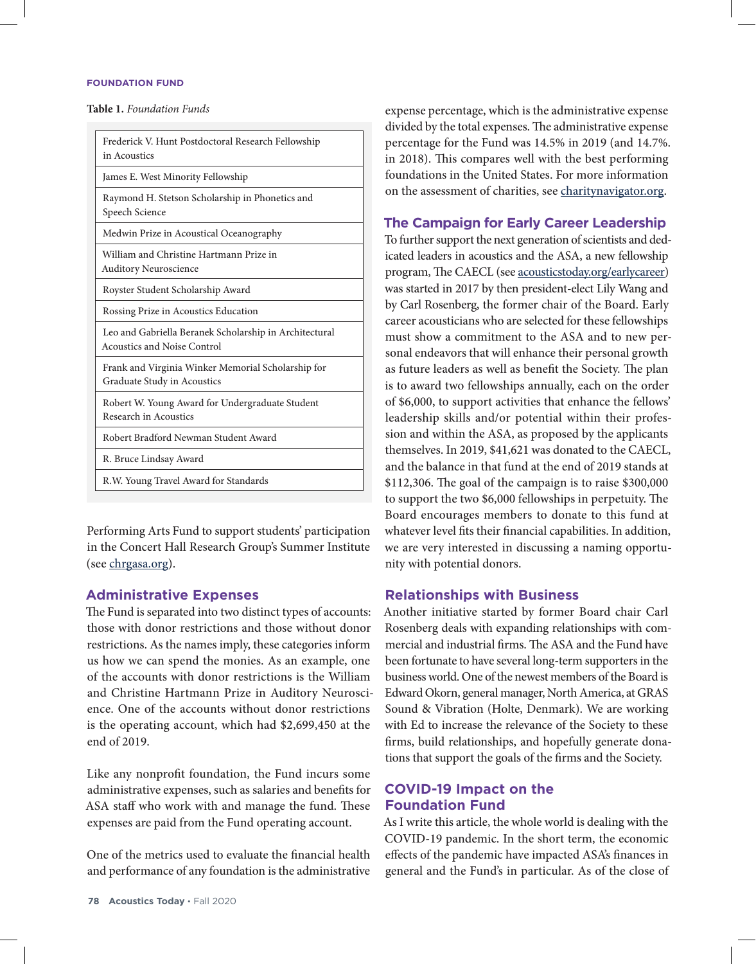#### **FOUNDATION FUND**

**Table 1.** *Foundation Funds*

| Frederick V. Hunt Postdoctoral Research Fellowship<br>in Acoustics                           |
|----------------------------------------------------------------------------------------------|
| James E. West Minority Fellowship                                                            |
| Raymond H. Stetson Scholarship in Phonetics and<br>Speech Science                            |
| Medwin Prize in Acoustical Oceanography                                                      |
| William and Christine Hartmann Prize in<br><b>Auditory Neuroscience</b>                      |
| Royster Student Scholarship Award                                                            |
| Rossing Prize in Acoustics Education                                                         |
| Leo and Gabriella Beranek Scholarship in Architectural<br><b>Acoustics and Noise Control</b> |
| Frank and Virginia Winker Memorial Scholarship for<br>Graduate Study in Acoustics            |
| Robert W. Young Award for Undergraduate Student<br>Research in Acoustics                     |
| Robert Bradford Newman Student Award                                                         |
| R. Bruce Lindsay Award                                                                       |
| R.W. Young Travel Award for Standards                                                        |

Performing Arts Fund to support students' participation in the Concert Hall Research Group's Summer Institute (see chrgasa.org).

#### **Administrative Expenses**

The Fund is separated into two distinct types of accounts: those with donor restrictions and those without donor restrictions. As the names imply, these categories inform us how we can spend the monies. As an example, one of the accounts with donor restrictions is the William and Christine Hartmann Prize in Auditory Neuroscience. One of the accounts without donor restrictions is the operating account, which had \$2,699,450 at the end of 2019.

Like any nonprofit foundation, the Fund incurs some administrative expenses, such as salaries and benefits for ASA staff who work with and manage the fund. These expenses are paid from the Fund operating account.

One of the metrics used to evaluate the financial health and performance of any foundation is the administrative expense percentage, which is the administrative expense divided by the total expenses. The administrative expense percentage for the Fund was 14.5% in 2019 (and 14.7%. in 2018). This compares well with the best performing foundations in the United States. For more information on the assessment of charities, see charitynavigator.org.

#### **The Campaign for Early Career Leadership**

To further support the next generation of scientists and dedicated leaders in acoustics and the ASA, a new fellowship program, The CAECL (see acousticstoday.org/earlycareer) was started in 2017 by then president-elect Lily Wang and by Carl Rosenberg, the former chair of the Board. Early career acousticians who are selected for these fellowships must show a commitment to the ASA and to new personal endeavors that will enhance their personal growth as future leaders as well as benefit the Society. The plan is to award two fellowships annually, each on the order of \$6,000, to support activities that enhance the fellows' leadership skills and/or potential within their profession and within the ASA, as proposed by the applicants themselves. In 2019, \$41,621 was donated to the CAECL, and the balance in that fund at the end of 2019 stands at \$112,306. The goal of the campaign is to raise \$300,000 to support the two \$6,000 fellowships in perpetuity. The Board encourages members to donate to this fund at whatever level fits their financial capabilities. In addition, we are very interested in discussing a naming opportunity with potential donors.

#### **Relationships with Business**

Another initiative started by former Board chair Carl Rosenberg deals with expanding relationships with commercial and industrial firms. The ASA and the Fund have been fortunate to have several long-term supporters in the business world. One of the newest members of the Board is Edward Okorn, general manager, North America, at GRAS Sound & Vibration (Holte, Denmark). We are working with Ed to increase the relevance of the Society to these firms, build relationships, and hopefully generate donations that support the goals of the firms and the Society.

## **COVID-19 Impact on the Foundation Fund**

As I write this article, the whole world is dealing with the COVID-19 pandemic. In the short term, the economic effects of the pandemic have impacted ASA's finances in general and the Fund's in particular. As of the close of